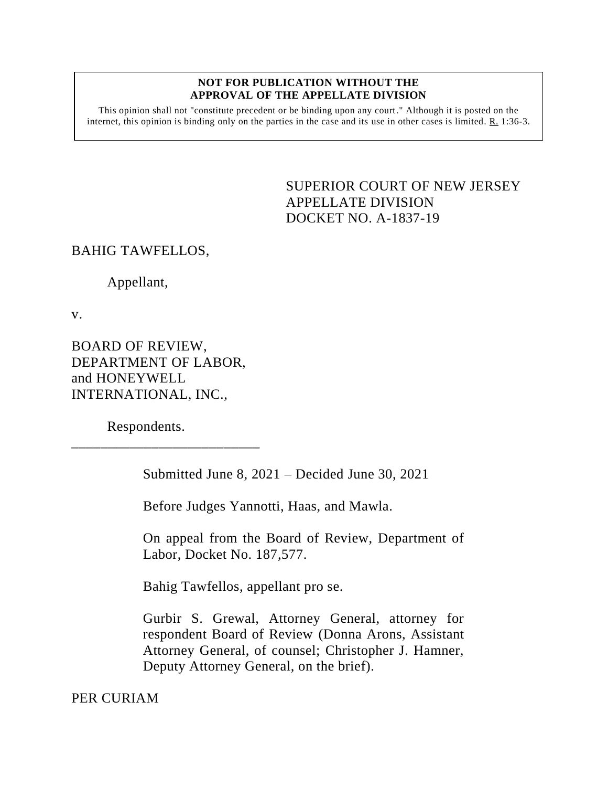## **NOT FOR PUBLICATION WITHOUT THE APPROVAL OF THE APPELLATE DIVISION**

This opinion shall not "constitute precedent or be binding upon any court." Although it is posted on the internet, this opinion is binding only on the parties in the case and its use in other cases is limited.  $R_1$  1:36-3.

> <span id="page-0-0"></span>SUPERIOR COURT OF NEW JERSEY APPELLATE DIVISION DOCKET NO. A-1837-19

## BAHIG TAWFELLOS,

Appellant,

v.

BOARD OF REVIEW, DEPARTMENT OF LABOR, and HONEYWELL INTERNATIONAL, INC.,

\_\_\_\_\_\_\_\_\_\_\_\_\_\_\_\_\_\_\_\_\_\_\_\_\_\_

Respondents.

Submitted June 8, 2021 – Decided June 30, 2021

Before Judges Yannotti, Haas, and Mawla.

On appeal from the Board of Review, Department of Labor, Docket No. 187,577.

Bahig Tawfellos, appellant pro se.

Gurbir S. Grewal, Attorney General, attorney for respondent Board of Review (Donna Arons, Assistant Attorney General, of counsel; Christopher J. Hamner, Deputy Attorney General, on the brief).

PER CURIAM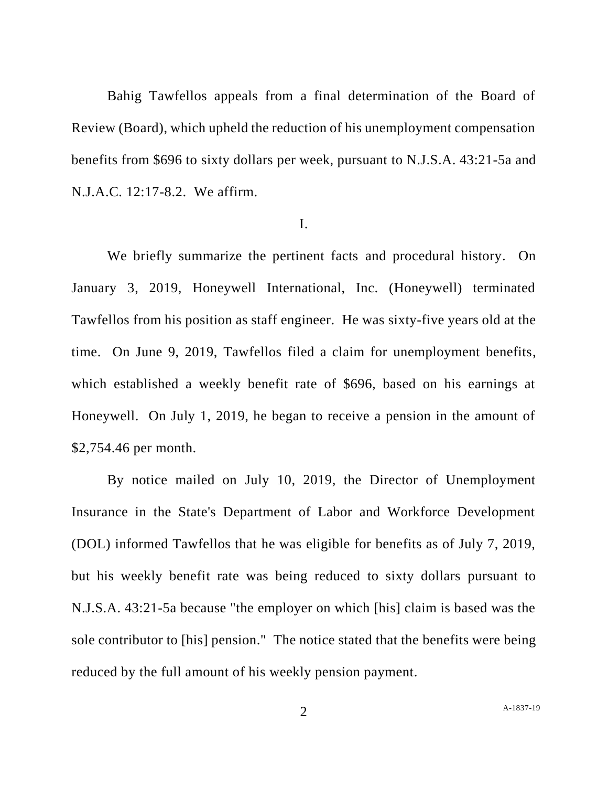Bahig Tawfellos appeals from a final determination of the Board of Review (Board), which upheld the reduction of his unemployment compensation benefits from \$696 to sixty dollars per week, pursuant to N.J.S.A. 43:21-5a and N.J.A.C. 12:17-8.2. We affirm.

## I.

We briefly summarize the pertinent facts and procedural history. On January 3, 2019, Honeywell International, Inc. (Honeywell) terminated Tawfellos from his position as staff engineer. He was sixty-five years old at the time. On June 9, 2019, Tawfellos filed a claim for unemployment benefits, which established a weekly benefit rate of \$696, based on his earnings at Honeywell. On July 1, 2019, he began to receive a pension in the amount of \$2,754.46 per month.

By notice mailed on July 10, 2019, the Director of Unemployment Insurance in the State's Department of Labor and Workforce Development (DOL) informed Tawfellos that he was eligible for benefits as of July 7, 2019, but his weekly benefit rate was being reduced to sixty dollars pursuant to N.J.S.A. 43:21-5a because "the employer on which [his] claim is based was the sole contributor to [his] pension." The notice stated that the benefits were being reduced by the full amount of his weekly pension payment.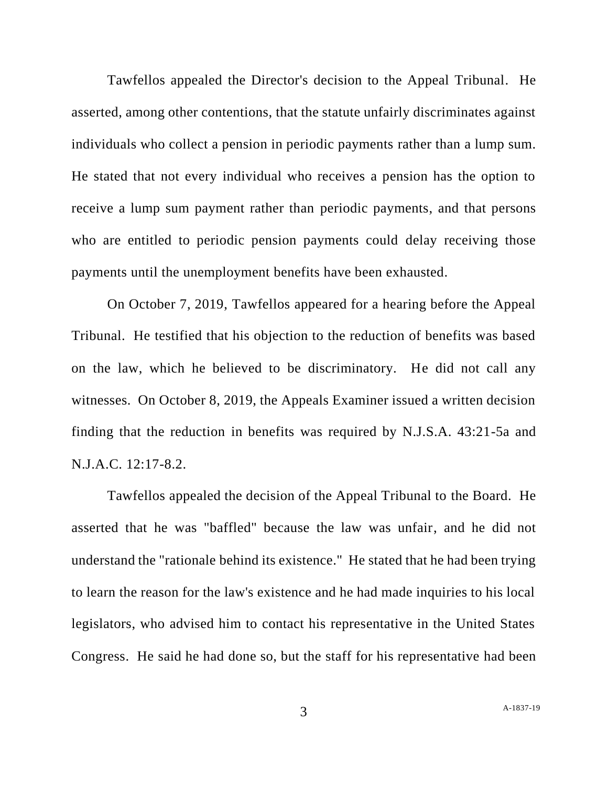Tawfellos appealed the Director's decision to the Appeal Tribunal. He asserted, among other contentions, that the statute unfairly discriminates against individuals who collect a pension in periodic payments rather than a lump sum. He stated that not every individual who receives a pension has the option to receive a lump sum payment rather than periodic payments, and that persons who are entitled to periodic pension payments could delay receiving those payments until the unemployment benefits have been exhausted.

On October 7, 2019, Tawfellos appeared for a hearing before the Appeal Tribunal. He testified that his objection to the reduction of benefits was based on the law, which he believed to be discriminatory. He did not call any witnesses. On October 8, 2019, the Appeals Examiner issued a written decision finding that the reduction in benefits was required by N.J.S.A. 43:21-5a and N.J.A.C. 12:17-8.2.

Tawfellos appealed the decision of the Appeal Tribunal to the Board. He asserted that he was "baffled" because the law was unfair, and he did not understand the "rationale behind its existence." He stated that he had been trying to learn the reason for the law's existence and he had made inquiries to his local legislators, who advised him to contact his representative in the United States Congress. He said he had done so, but the staff for his representative had been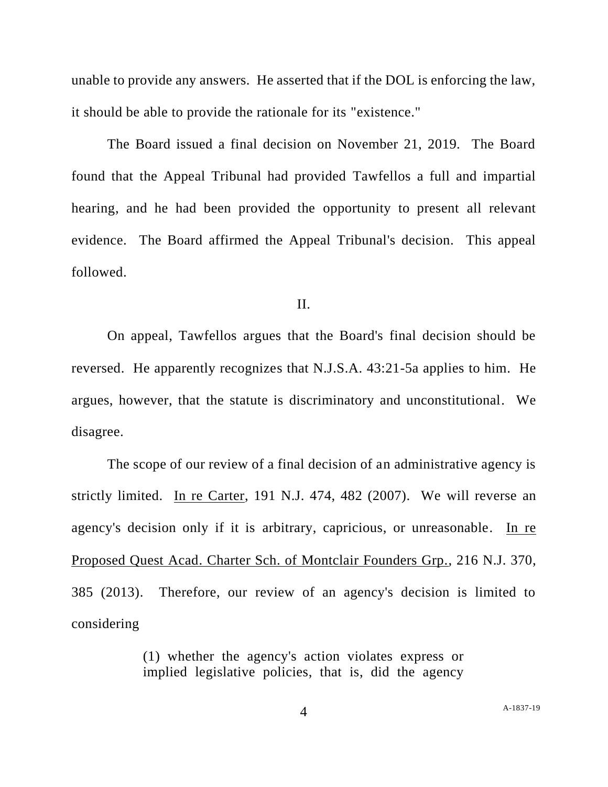unable to provide any answers. He asserted that if the DOL is enforcing the law, it should be able to provide the rationale for its "existence."

The Board issued a final decision on November 21, 2019. The Board found that the Appeal Tribunal had provided Tawfellos a full and impartial hearing, and he had been provided the opportunity to present all relevant evidence. The Board affirmed the Appeal Tribunal's decision. This appeal followed.

II.

On appeal, Tawfellos argues that the Board's final decision should be reversed. He apparently recognizes that N.J.S.A. 43:21-5a applies to him. He argues, however, that the statute is discriminatory and unconstitutional. We disagree.

The scope of our review of a final decision of an administrative agency is strictly limited. In re Carter, 191 N.J. 474, 482 (2007). We will reverse an agency's decision only if it is arbitrary, capricious, or unreasonable. In re Proposed Quest Acad. Charter Sch. of Montclair Founders Grp., 216 N.J. 370, 385 (2013). Therefore, our review of an agency's decision is limited to considering

> (1) whether the agency's action violates express or implied legislative policies, that is, did the agency

4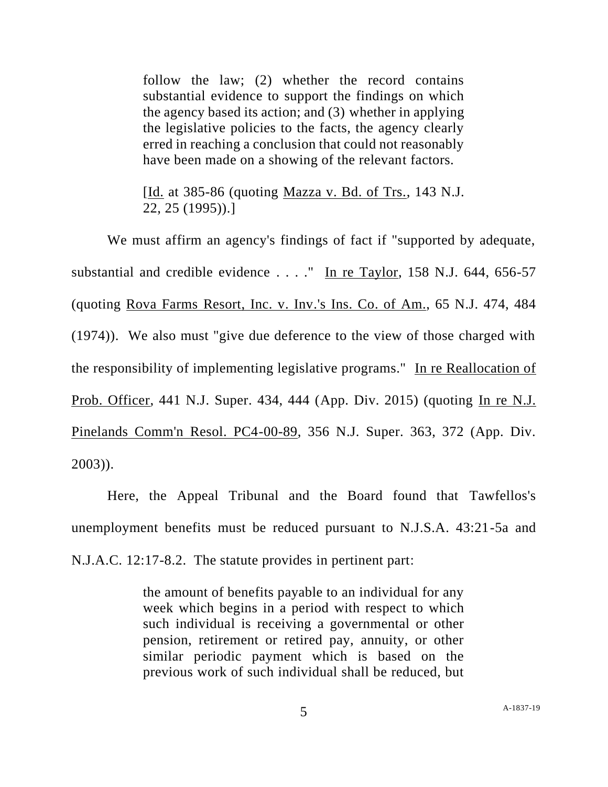follow the law; (2) whether the record contains substantial evidence to support the findings on which the agency based its action; and (3) whether in applying the legislative policies to the facts, the agency clearly erred in reaching a conclusion that could not reasonably have been made on a showing of the relevant factors.

[Id. at 385-86 (quoting Mazza v. Bd. of Trs., 143 N.J. 22, 25 (1995)).]

We must affirm an agency's findings of fact if "supported by adequate, substantial and credible evidence . . . ." In re Taylor, 158 N.J. 644, 656-57 (quoting Rova Farms Resort, Inc. v. Inv.'s Ins. Co. of Am., 65 N.J. 474, 484 (1974)). We also must "give due deference to the view of those charged with the responsibility of implementing legislative programs." In re Reallocation of Prob. Officer, 441 N.J. Super. 434, 444 (App. Div. 2015) (quoting In re N.J. Pinelands Comm'n Resol. PC4-00-89, 356 N.J. Super. 363, 372 (App. Div. 2003)).

Here, the Appeal Tribunal and the Board found that Tawfellos's unemployment benefits must be reduced pursuant to N.J.S.A. 43:21-5a and N.J.A.C. 12:17-8.2. The statute provides in pertinent part:

> the amount of benefits payable to an individual for any week which begins in a period with respect to which such individual is receiving a governmental or other pension, retirement or retired pay, annuity, or other similar periodic payment which is based on the previous work of such individual shall be reduced, but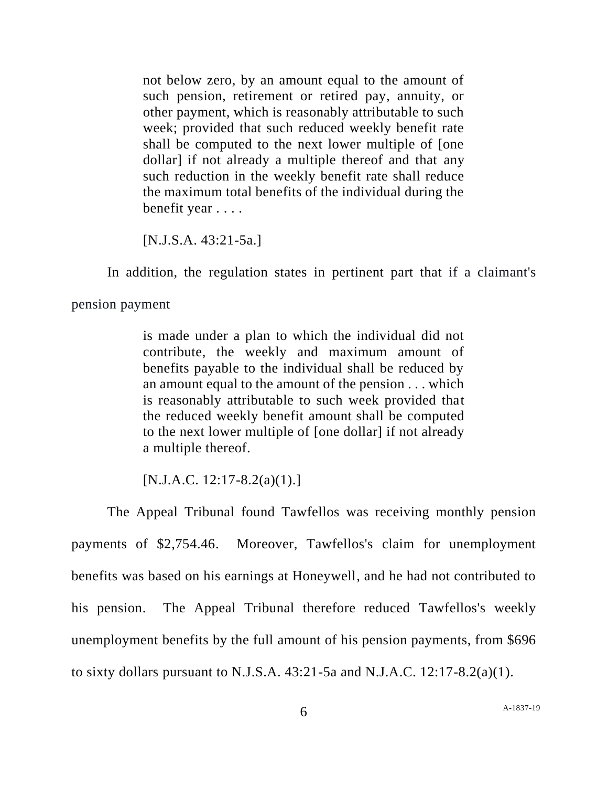not below zero, by an amount equal to the amount of such pension, retirement or retired pay, annuity, or other payment, which is reasonably attributable to such week; provided that such reduced weekly benefit rate shall be computed to the next lower multiple of [one dollar] if not already a multiple thereof and that any such reduction in the weekly benefit rate shall reduce the maximum total benefits of the individual during the benefit year . . . .

[N.J.S.A. 43:21-5a.]

In addition, the regulation states in pertinent part that if a claimant's

pension payment

is made under a plan to which the individual did not contribute, the weekly and maximum amount of benefits payable to the individual shall be reduced by an amount equal to the amount of the pension . . . which is reasonably attributable to such week provided that the reduced weekly benefit amount shall be computed to the next lower multiple of [one dollar] if not already a multiple thereof.

 $[N.J.A.C. 12:17-8.2(a)(1).]$ 

The Appeal Tribunal found Tawfellos was receiving monthly pension payments of \$2,754.46. Moreover, Tawfellos's claim for unemployment benefits was based on his earnings at Honeywell, and he had not contributed to his pension. The Appeal Tribunal therefore reduced Tawfellos's weekly unemployment benefits by the full amount of his pension payments, from \$696 to sixty dollars pursuant to N.J.S.A.  $43:21-5a$  and N.J.A.C.  $12:17-8.2(a)(1)$ .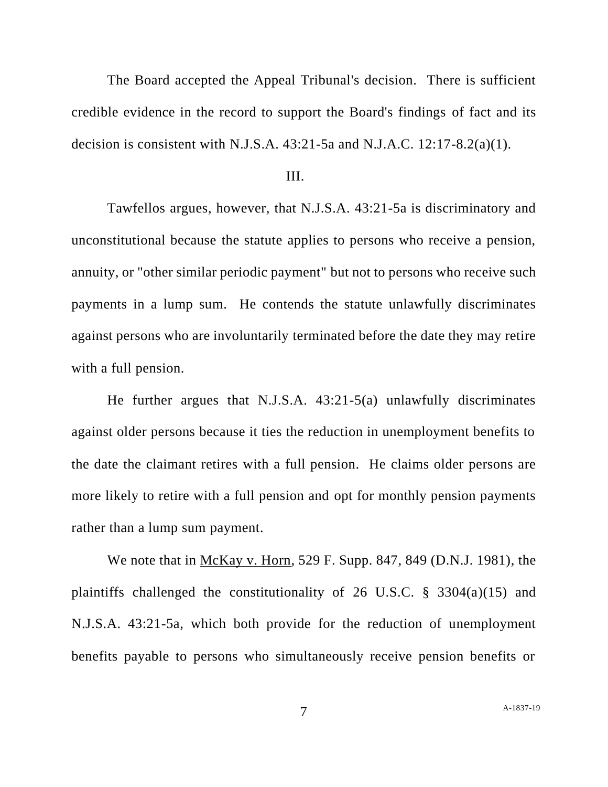The Board accepted the Appeal Tribunal's decision. There is sufficient credible evidence in the record to support the Board's findings of fact and its decision is consistent with N.J.S.A.  $43:21-5a$  and N.J.A.C.  $12:17-8.2(a)(1)$ .

## III.

Tawfellos argues, however, that N.J.S.A. 43:21-5a is discriminatory and unconstitutional because the statute applies to persons who receive a pension, annuity, or "other similar periodic payment" but not to persons who receive such payments in a lump sum. He contends the statute unlawfully discriminates against persons who are involuntarily terminated before the date they may retire with a full pension.

He further argues that N.J.S.A. 43:21-5(a) unlawfully discriminates against older persons because it ties the reduction in unemployment benefits to the date the claimant retires with a full pension. He claims older persons are more likely to retire with a full pension and opt for monthly pension payments rather than a lump sum payment.

We note that in McKay v. Horn, 529 F. Supp. 847, 849 (D.N.J. 1981), the plaintiffs challenged the constitutionality of 26 U.S.C. § 3304(a)(15) and N.J.S.A. 43:21-5a, which both provide for the reduction of unemployment benefits payable to persons who simultaneously receive pension benefits or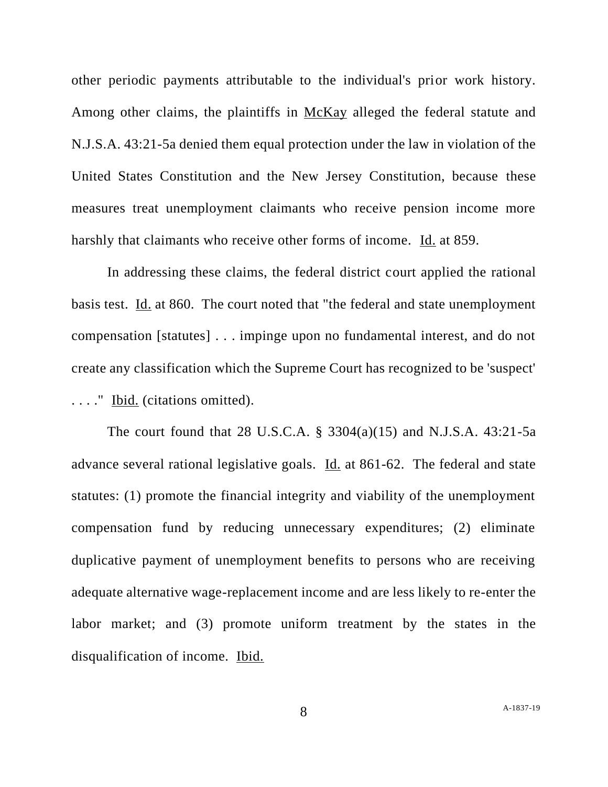other periodic payments attributable to the individual's prior work history. Among other claims, the plaintiffs in McKay alleged the federal statute and N.J.S.A. 43:21-5a denied them equal protection under the law in violation of the United States Constitution and the New Jersey Constitution, because these measures treat unemployment claimants who receive pension income more harshly that claimants who receive other forms of income. Id. at 859.

In addressing these claims, the federal district court applied the rational basis test. Id. at 860. The court noted that "the federal and state unemployment compensation [statutes] . . . impinge upon no fundamental interest, and do not create any classification which the Supreme Court has recognized to be 'suspect' . . . ." Ibid. (citations omitted).

The court found that 28 U.S.C.A. § 3304(a)(15) and N.J.S.A. 43:21-5a advance several rational legislative goals. Id. at 861-62. The federal and state statutes: (1) promote the financial integrity and viability of the unemployment compensation fund by reducing unnecessary expenditures; (2) eliminate duplicative payment of unemployment benefits to persons who are receiving adequate alternative wage-replacement income and are less likely to re-enter the labor market; and (3) promote uniform treatment by the states in the disqualification of income. Ibid.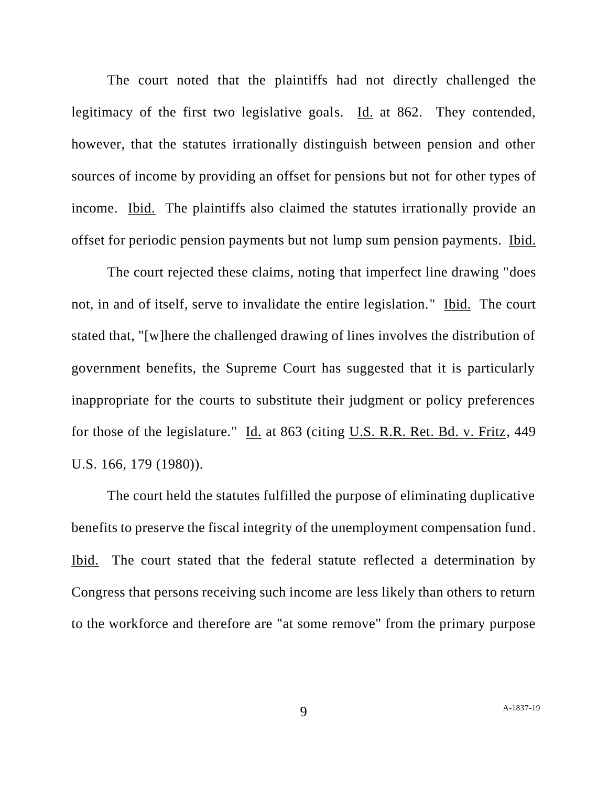The court noted that the plaintiffs had not directly challenged the legitimacy of the first two legislative goals. Id. at 862. They contended, however, that the statutes irrationally distinguish between pension and other sources of income by providing an offset for pensions but not for other types of income. Ibid. The plaintiffs also claimed the statutes irrationally provide an offset for periodic pension payments but not lump sum pension payments. Ibid.

The court rejected these claims, noting that imperfect line drawing "does not, in and of itself, serve to invalidate the entire legislation." Ibid. The court stated that, "[w]here the challenged drawing of lines involves the distribution of government benefits, the Supreme Court has suggested that it is particularly inappropriate for the courts to substitute their judgment or policy preferences for those of the legislature." Id. at 863 (citing U.S. R.R. Ret. Bd. v. Fritz, 449 U.S. 166, 179 (1980)).

The court held the statutes fulfilled the purpose of eliminating duplicative benefits to preserve the fiscal integrity of the unemployment compensation fund. Ibid. The court stated that the federal statute reflected a determination by Congress that persons receiving such income are less likely than others to return to the workforce and therefore are "at some remove" from the primary purpose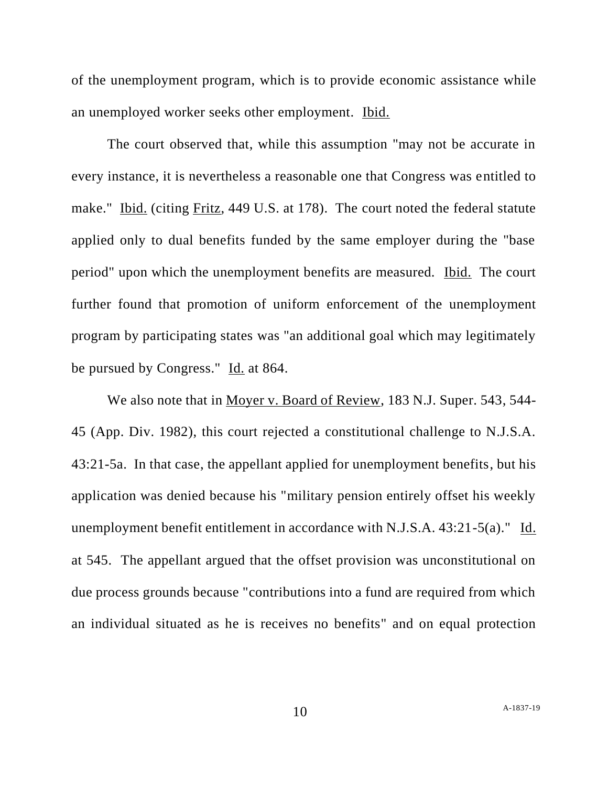of the unemployment program, which is to provide economic assistance while an unemployed worker seeks other employment. Ibid.

The court observed that, while this assumption "may not be accurate in every instance, it is nevertheless a reasonable one that Congress was entitled to make." Ibid. (citing Fritz, 449 U.S. at 178). The court noted the federal statute applied only to dual benefits funded by the same employer during the "base period" upon which the unemployment benefits are measured. Ibid. The court further found that promotion of uniform enforcement of the unemployment program by participating states was "an additional goal which may legitimately be pursued by Congress." Id. at 864.

We also note that in Moyer v. Board of Review, 183 N.J. Super. 543, 544- 45 (App. Div. 1982), this court rejected a constitutional challenge to N.J.S.A. 43:21-5a. In that case, the appellant applied for unemployment benefits, but his application was denied because his "military pension entirely offset his weekly unemployment benefit entitlement in accordance with N.J.S.A. 43:21-5(a)." Id. at 545. The appellant argued that the offset provision was unconstitutional on due process grounds because "contributions into a fund are required from which an individual situated as he is receives no benefits" and on equal protection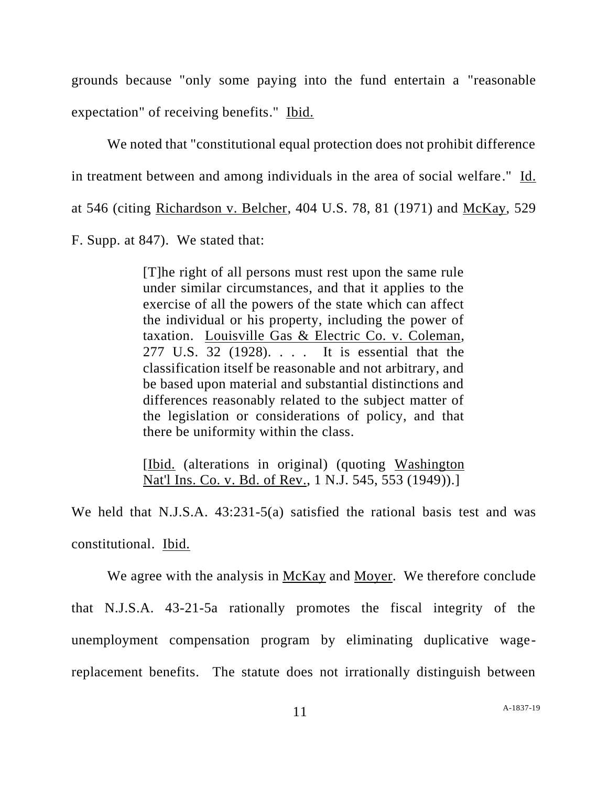grounds because "only some paying into the fund entertain a "reasonable expectation" of receiving benefits." Ibid.

We noted that "constitutional equal protection does not prohibit difference" in treatment between and among individuals in the area of social welfare." Id. at 546 (citing Richardson v. Belcher, 404 U.S. 78, 81 (1971) and McKay, 529 F. Supp. at 847). We stated that:

> [T]he right of all persons must rest upon the same rule under similar circumstances, and that it applies to the exercise of all the powers of the state which can affect the individual or his property, including the power of taxation. Louisville Gas & Electric Co. v. Coleman, 277 U.S. 32 (1928). . . . It is essential that the classification itself be reasonable and not arbitrary, and be based upon material and substantial distinctions and differences reasonably related to the subject matter of the legislation or considerations of policy, and that there be uniformity within the class.

> [Ibid. (alterations in original) (quoting Washington Nat'l Ins. Co. v. Bd. of Rev., 1 N.J. 545, 553 (1949)).]

We held that N.J.S.A. 43:231-5(a) satisfied the rational basis test and was constitutional. Ibid.

We agree with the analysis in McKay and Moyer. We therefore conclude that N.J.S.A. 43-21-5a rationally promotes the fiscal integrity of the unemployment compensation program by eliminating duplicative wagereplacement benefits. The statute does not irrationally distinguish between